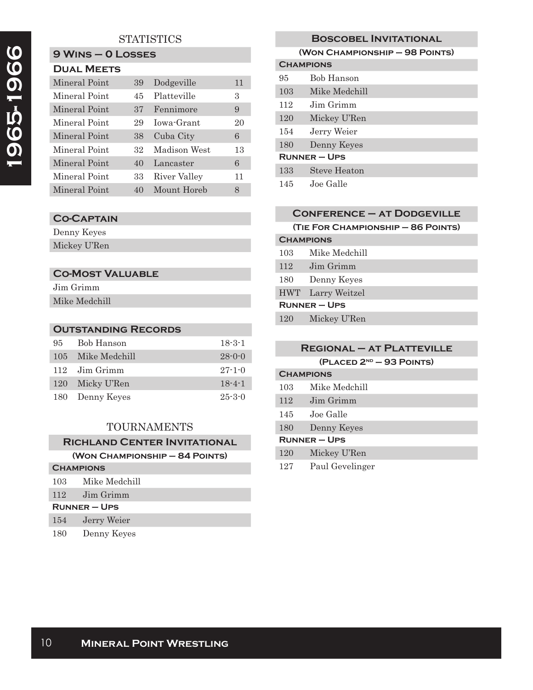## **STATISTICS**

### **9 Wins – 0 Losses Dual Meets**

| DUAL MEETS    |    |              |    |
|---------------|----|--------------|----|
| Mineral Point | 39 | Dodgeville   | 11 |
| Mineral Point | 45 | Platteville  | 3  |
| Mineral Point | 37 | Fennimore    | 9  |
| Mineral Point | 29 | Jowa-Grant   | 20 |
| Mineral Point | 38 | Cuba City    | 6  |
| Mineral Point | 32 | Madison West | 13 |
| Mineral Point | 40 | Lancaster    | 6  |
| Mineral Point | 33 | River Valley | 11 |
| Mineral Point | 40 | Mount Horeb  | 8  |

### **Co-Captain**

Denny Keyes Mickey U'Ren

### **Co-Most Valuable**

| Jim Grimm     |
|---------------|
| Mike Medchill |

### **Outstanding Records**

| 95         | Bob Hanson    | $18 - 3 - 1$ |
|------------|---------------|--------------|
| 105        | Mike Medchill | $28 - 0 - 0$ |
|            | 112 Jim Grimm | $27 - 1 - 0$ |
| <b>120</b> | Micky U'Ren   | $18 - 4 - 1$ |
| 180        | Denny Keyes   | $25 - 3 - 0$ |

### TOURNAMENTS

# **Richland Center Invitational**

| (WON CHAMPIONSHIP - 84 POINTS) |  |
|--------------------------------|--|
|--------------------------------|--|

| <b>CHAMPIONS</b>  |               |  |
|-------------------|---------------|--|
| 103               | Mike Medchill |  |
| 112               | Jim Grimm     |  |
| <b>RUNNER-UPS</b> |               |  |
| 154               | Jerry Weier   |  |
| 180               | Denny Keyes   |  |

# **Boscobel Invitational (Won Championship – 98 Points) Champions** 95 Bob Hanson 103 Mike Medchill 112 Jim Grimm 120 Mickey U'Ren 154 Jerry Weier 180 Denny Keyes **Runner – Ups** 133 Steve Heaton

145 Joe Galle

|                     | <b>CONFERENCE - AT DODGEVILLE</b>  |
|---------------------|------------------------------------|
|                     | (TIE FOR CHAMPIONSHIP - 86 POINTS) |
| <b>CHAMPIONS</b>    |                                    |
| 103                 | Mike Medchill                      |
| 112                 | Jim Grimm                          |
| 180                 | Denny Keyes                        |
| <b>HWT</b>          | Larry Weitzel                      |
| <b>RUNNER - UPS</b> |                                    |
| 120                 | Mickey U'Ren                       |

|     | <b>REGIONAL - AT PLATTEVILLE</b> |
|-----|----------------------------------|
|     | $(PLACED 2ND - 93 POINTS)$       |
|     | <b>CHAMPIONS</b>                 |
| 103 | Mike Medchill                    |
| 112 | Jim Grimm                        |
| 145 | Joe Galle                        |
| 180 | Denny Keyes                      |
|     | $RUNNER - UPS$                   |
| 120 | Mickey U'Ren                     |

127 Paul Gevelinger